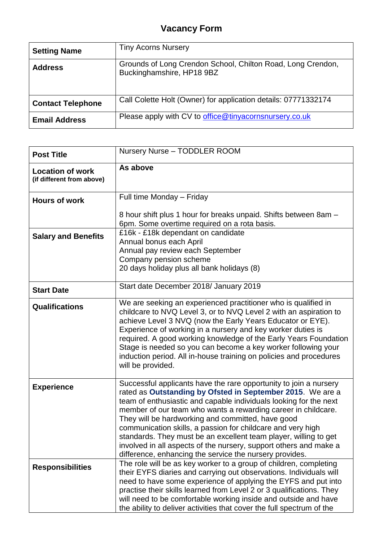## **Vacancy Form**

| <b>Setting Name</b>      | <b>Tiny Acorns Nursery</b>                                                               |
|--------------------------|------------------------------------------------------------------------------------------|
| <b>Address</b>           | Grounds of Long Crendon School, Chilton Road, Long Crendon,<br>Buckinghamshire, HP18 9BZ |
| <b>Contact Telephone</b> | Call Colette Holt (Owner) for application details: 07771332174                           |
| <b>Email Address</b>     | Please apply with CV to office@tinyacornsnursery.co.uk                                   |

| <b>Post Title</b>                                    | Nursery Nurse - TODDLER ROOM                                                                                                                                                                                                                                                                                                                                                                                                                                                                                                                                                                  |
|------------------------------------------------------|-----------------------------------------------------------------------------------------------------------------------------------------------------------------------------------------------------------------------------------------------------------------------------------------------------------------------------------------------------------------------------------------------------------------------------------------------------------------------------------------------------------------------------------------------------------------------------------------------|
| <b>Location of work</b><br>(if different from above) | As above                                                                                                                                                                                                                                                                                                                                                                                                                                                                                                                                                                                      |
| <b>Hours of work</b>                                 | Full time Monday - Friday                                                                                                                                                                                                                                                                                                                                                                                                                                                                                                                                                                     |
|                                                      | 8 hour shift plus 1 hour for breaks unpaid. Shifts between 8am -<br>6pm. Some overtime required on a rota basis.                                                                                                                                                                                                                                                                                                                                                                                                                                                                              |
| <b>Salary and Benefits</b>                           | £16k - £18k dependant on candidate<br>Annual bonus each April<br>Annual pay review each September<br>Company pension scheme<br>20 days holiday plus all bank holidays (8)                                                                                                                                                                                                                                                                                                                                                                                                                     |
| <b>Start Date</b>                                    | Start date December 2018/ January 2019                                                                                                                                                                                                                                                                                                                                                                                                                                                                                                                                                        |
| <b>Qualifications</b>                                | We are seeking an experienced practitioner who is qualified in<br>childcare to NVQ Level 3, or to NVQ Level 2 with an aspiration to<br>achieve Level 3 NVQ (now the Early Years Educator or EYE).<br>Experience of working in a nursery and key worker duties is<br>required. A good working knowledge of the Early Years Foundation<br>Stage is needed so you can become a key worker following your<br>induction period. All in-house training on policies and procedures<br>will be provided.                                                                                              |
| <b>Experience</b>                                    | Successful applicants have the rare opportunity to join a nursery<br>rated as Outstanding by Ofsted in September 2015. We are a<br>team of enthusiastic and capable individuals looking for the next<br>member of our team who wants a rewarding career in childcare.<br>They will be hardworking and committed, have good<br>communication skills, a passion for childcare and very high<br>standards. They must be an excellent team player, willing to get<br>involved in all aspects of the nursery, support others and make a<br>difference, enhancing the service the nursery provides. |
| <b>Responsibilities</b>                              | The role will be as key worker to a group of children, completing<br>their EYFS diaries and carrying out observations. Individuals will<br>need to have some experience of applying the EYFS and put into<br>practise their skills learned from Level 2 or 3 qualifications. They<br>will need to be comfortable working inside and outside and have<br>the ability to deliver activities that cover the full spectrum of the                                                                                                                                                                 |